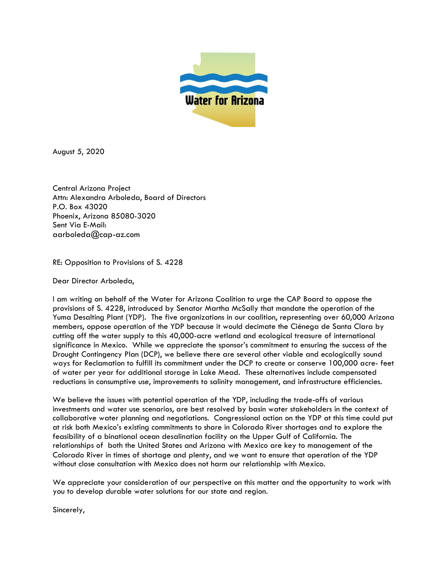

August 5, 2020

Central Arizona Project Attn: Alexandra Arboleda, Board of Directors P.O. Box 43020 Phoenix, Arizona 85080-3020 Sent Via E-Mail: aarboleda@cap-az.com

RE: Opposition to Provisions of S. 4228

Dear Director Arboleda,

I am writing on behalf of the Water for Arizona Coalition to urge the CAP Board to oppose the provisions of S. 4228, introduced by Senator Martha McSally that mandate the operation of the Yuma Desalting Plant (YDP). The five organizations in our coalition, representing over 60,000 Arizona members, oppose operation of the YDP because it would decimate the Ciénega de Santa Clara by cutting off the water supply to this 40,000-acre wetland and ecological treasure of international significance in Mexico. While we appreciate the sponsor's commitment to ensuring the success of the Drought Contingency Plan (DCP), we believe there are several other viable and ecologically sound ways for Reclamation to fulfill its commitment under the DCP to create or conserve 100,000 acre- feet of water per year for additional storage in Lake Mead. These alternatives include compensated reductions in consumptive use, improvements to salinity management, and infrastructure efficiencies.

We believe the issues with potential operation of the YDP, including the trade-offs of various investments and water use scenarios, are best resolved by basin water stakeholders in the context of collaborative water planning and negotiations. Congressional action on the YDP at this time could put at risk both Mexico's existing commitments to share in Colorado River shortages and to explore the feasibility of a binational ocean desalination facility on the Upper Gulf of California. The relationships of both the United States and Arizona with Mexico are key to management of the Colorado River in times of shortage and plenty, and we want to ensure that operation of the YDP without close consultation with Mexico does not harm our relationship with Mexico.

We appreciate your consideration of our perspective on this matter and the opportunity to work with you to develop durable water solutions for our state and region.

Sincerely,